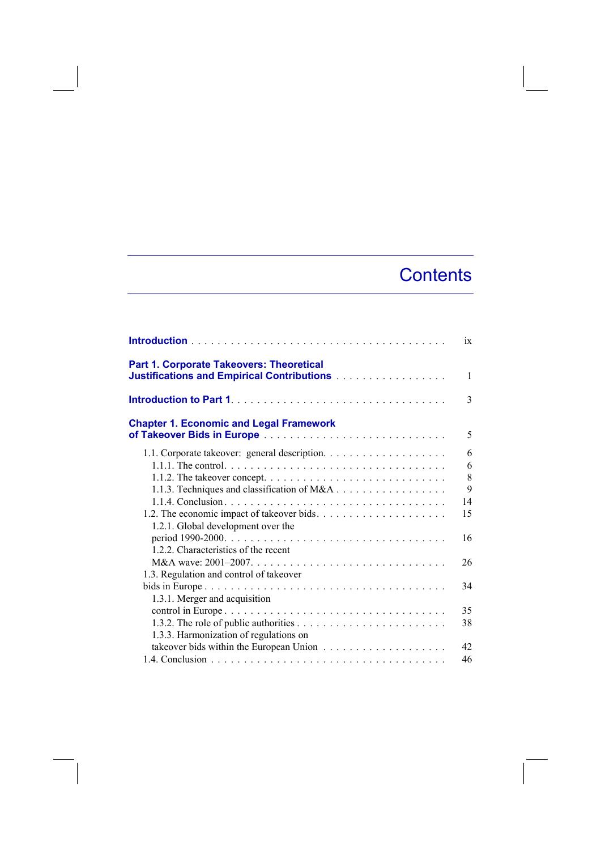## **Contents**

|                                                                                                  | 1X            |
|--------------------------------------------------------------------------------------------------|---------------|
| <b>Part 1. Corporate Takeovers: Theoretical</b><br>Justifications and Empirical Contributions    | $\mathbf{1}$  |
|                                                                                                  | $\mathcal{E}$ |
| <b>Chapter 1. Economic and Legal Framework</b>                                                   | 5             |
|                                                                                                  | 6             |
|                                                                                                  | 6             |
| 1.1.2. The takeover concept. $\dots \dots \dots \dots \dots \dots \dots \dots \dots \dots \dots$ | 8             |
| 1.1.3. Techniques and classification of M&A                                                      | 9             |
|                                                                                                  | 14            |
| 1.2. The economic impact of takeover bids                                                        | 15            |
| 1.2.1. Global development over the                                                               |               |
|                                                                                                  | 16            |
| 1.2.2. Characteristics of the recent                                                             |               |
|                                                                                                  | 26            |
| 1.3. Regulation and control of takeover                                                          |               |
|                                                                                                  | 34            |
| 1.3.1. Merger and acquisition                                                                    |               |
|                                                                                                  | 35            |
|                                                                                                  | 38            |
| 1.3.3. Harmonization of regulations on                                                           |               |
|                                                                                                  | 42            |
|                                                                                                  | 46            |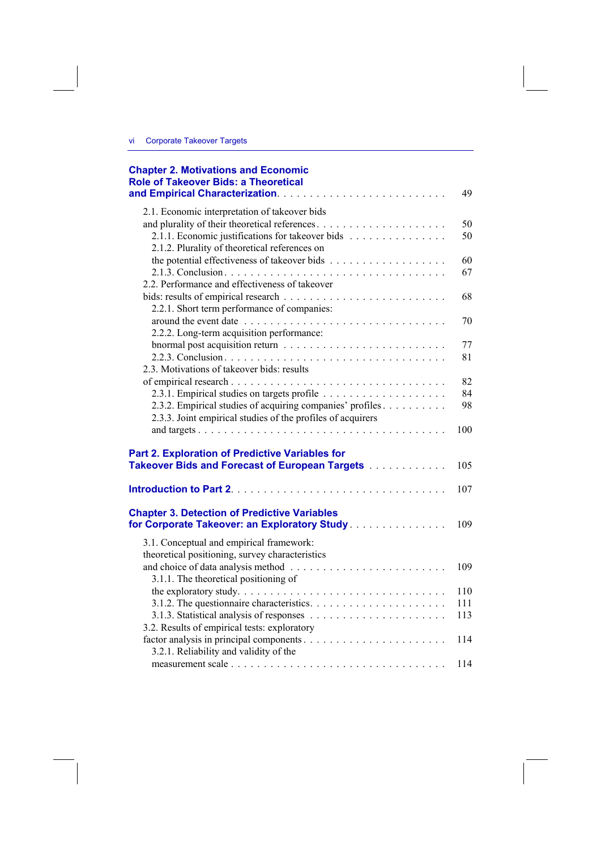| <b>Chapter 2. Motivations and Economic</b><br><b>Role of Takeover Bids: a Theoretical</b>                               | 49         |
|-------------------------------------------------------------------------------------------------------------------------|------------|
| 2.1. Economic interpretation of takeover bids                                                                           |            |
|                                                                                                                         | 50         |
| 2.1.1. Economic justifications for takeover bids                                                                        | 50         |
| 2.1.2. Plurality of theoretical references on                                                                           |            |
|                                                                                                                         | 60         |
|                                                                                                                         | 67         |
| 2.2. Performance and effectiveness of takeover                                                                          |            |
|                                                                                                                         | 68         |
| 2.2.1. Short term performance of companies:                                                                             |            |
|                                                                                                                         | 70         |
| 2.2.2. Long-term acquisition performance:                                                                               |            |
|                                                                                                                         | 77         |
|                                                                                                                         | 81         |
| 2.3. Motivations of takeover bids: results                                                                              |            |
|                                                                                                                         | 82         |
|                                                                                                                         | 84         |
| 2.3.2. Empirical studies of acquiring companies' profiles                                                               | 98         |
| 2.3.3. Joint empirical studies of the profiles of acquirers                                                             |            |
|                                                                                                                         | 100        |
| Part 2. Exploration of Predictive Variables for<br>Takeover Bids and Forecast of European Targets [11] Contact Division | 105<br>107 |
| <b>Chapter 3. Detection of Predictive Variables</b><br>for Corporate Takeover: an Exploratory Study.                    | 109        |
| 3.1. Conceptual and empirical framework:                                                                                |            |
| theoretical positioning, survey characteristics                                                                         |            |
|                                                                                                                         | 109        |
| 3.1.1. The theoretical positioning of                                                                                   |            |
|                                                                                                                         | 110        |
|                                                                                                                         | 111        |
|                                                                                                                         | 113        |
| 3.2. Results of empirical tests: exploratory                                                                            |            |
|                                                                                                                         | 114        |
| 3.2.1. Reliability and validity of the                                                                                  |            |
|                                                                                                                         | 114        |